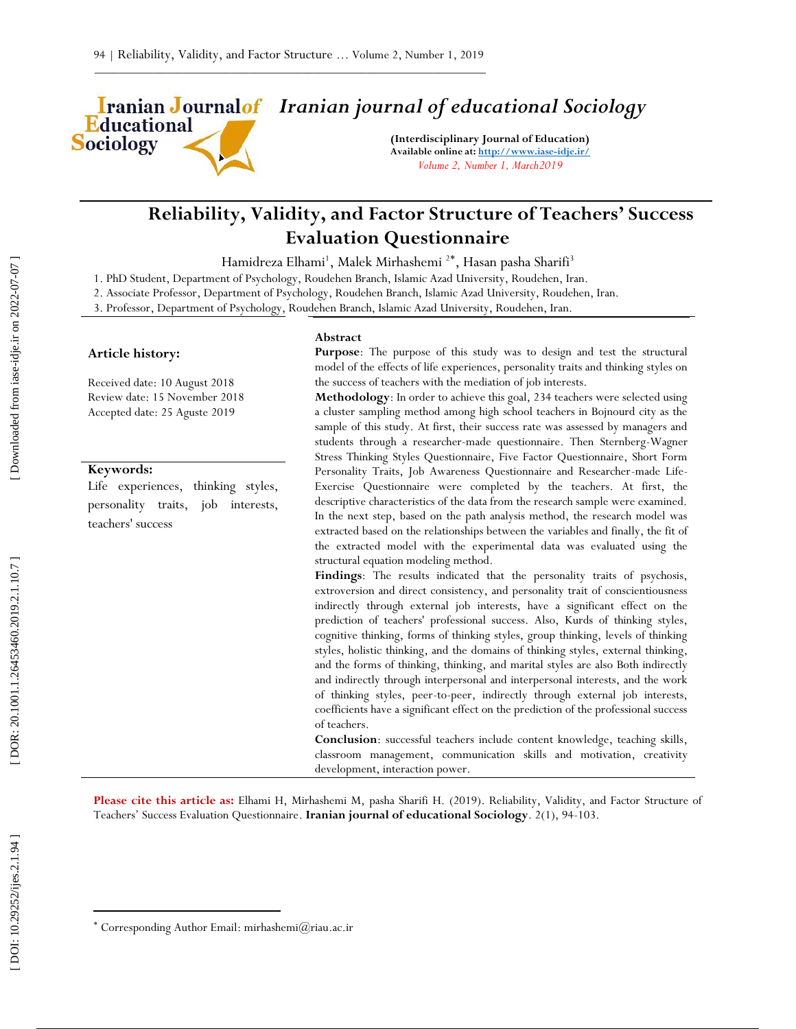Educational Sociology

# *Iranian journal of educational Sociology*

**(Interdisciplinary Journal of Education) Available online at[: http://www.iase](http://www.iase-idje.ir/) -idje.ir/** *Volume 2, Number 1, March2019*

# **Reliability, Validity, and Factor Structure of Teachers' Success Evaluation Questionnaire**

Hamidreza Elhami<sup>1</sup>, Malek Mirhashemi <sup>2\*</sup>, Hasan pasha Sharifi<sup>3</sup>

1. PhD Student, Department of Psychology, Roudehen Branch, Islamic Azad University, Roudehen, Iran.

2. Associate Professor, Department of Psychology, Roudehen Branch, Islamic Azad University, Roudehen, Iran. 3. Professor, Department of Psychology, Roudehen Branch, Islamic Azad University, Roudehen, Iran.

#### **Article history:**

Received date: 1 0 August 2 0 1 8 Review date: 15 November 2018 Accepted date: 2 5 Aguste 2 0 1 9

### **Keywords:**

Life experiences, thinking styles, personality traits, job interests, teachers' success

#### **Abstract**

**Purpose**: The purpose of this study was to design and test the structural model of the effects of life experiences, personality traits and thinking styles on the success of teachers with the mediation of job interests.

**Methodology**: In order to achieve this goal, 234 teachers were selected using a cluster sampling method among high school teachers in Bojnourd city as the sample of this study. At first, their success rate was assessed by managers and students through a researcher -made questionnaire. Then Sternberg -Wagner Stress Thinking Styles Questionnaire, Five Factor Questionnaire, Short Form Personality Traits, Job Awareness Questionnaire and Researcher-made Life-Exercise Questionnaire were completed by the teachers. At first, the descriptive characteristics of the data from the research sample were examined. In the next step, based on the path analysis method, the research model was extracted based on the relationships between the variables and finally, the fit of the extracted model with the experimental data was evaluated using the structural equation modeling method.

**Findings**: The results indicated that the personality traits of psychosis, extroversion and direct consistency, and personality trait of conscientiousness indirectly through external job interests, have a significant effect on the prediction of teachers' professional success. Also, Kurds of thinking styles, cognitive thinking, forms of thinking styles, group thinking, levels of thinking styles, holistic thinking, and the domains of thinking styles, external thinking, and the forms of thinking, thinking, and marital styles are also Both indirectly and indirectly through interpersonal and interpersonal interests, and the work of thinking styles, peer -to -peer, indirectly through external job interests, coefficients have a significant effect on the prediction of the professional success of teachers.

**Conclusion**: successful teachers include content knowledge, teaching skills, classroom management, communication skills and motivation, creativity development, interaction power.

Please cite this article as: Elhami H, Mirhashemi M, pasha Sharifi H. (2019). Reliability, Validity, and Factor Structure of Teachers' Success Evaluation Questionnaire. Iranian journal of educational Sociology. 2(1), 94-103.

 $\overline{\phantom{a}}$ 

Corresponding Author Email: mirhashemi@riau.ac.ir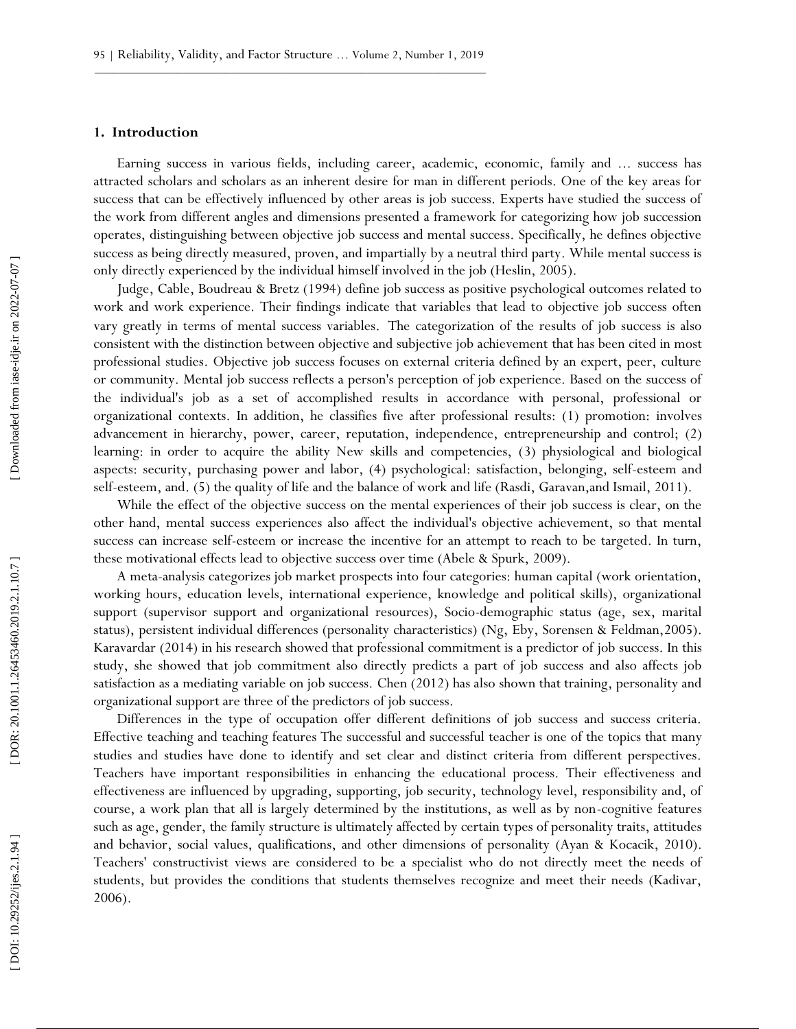#### **1. Introduction**

Earning success in various fields, including career, academic, economic, family and ... success has attracted scholars and scholars as an inherent desire for man in different periods. One of the key areas for success that can be effectively influenced by other areas is job success. Experts have studied the success of the work from different angles and dimensions presented a framework for categorizing how job succession operates, distinguishing between objective job success and mental success. Specifically, he defines objective success as being directly measured, proven, and impartially by a neutral third party. While mental success is only directly experienced by the individual himself involved in the job (Heslin, 2005).

Judge, Cable, Boudreau & Bretz (1994) define job success as positive psychological outcomes related to work and work experience. Their findings indicate that variables that lead to objective job success often vary greatly in terms of mental success variables. The categorization of the results of job success is also consistent with the distinction between objective and subjective job achievement that has been cited in most professional studies. Objective job success focuses on external criteria defined by an expert, peer, culture or community. Mental job success reflects a person's perception of job experience. Based on the success of the individual's job as a set of accomplished results in accordance with personal, professional or organizational contexts. In addition, he classifies five after professional results: ( 1) promotion: involves advancement in hierarchy, power, career, reputation, independence, entrepreneurship and control; ( 2) learning: in order to acquire the ability New skills and competencies, ( 3) physiological and biological aspects: security, purchasing power and labor, ( 4) psychological: satisfaction, belonging, self -esteem and sel f-esteem, and. ( 5) the quality of life and the balance of work and life (Rasdi, Garavan,and Ismail, 2011).

While the effect of the objective success on the mental experiences of their job success is clear, on the other hand, mental success experiences also affect the individual's objective achievement, so that mental success can increase self-esteem or increase the incentive for an attempt to reach to be targeted. In turn, these motivational effects lead to objective success over time (Abele & Spurk, 2009).

A meta -analysis categorizes job market prospects into four categories: human capital (work orientation, working hours, education levels, international experience, knowledge and political skills), organizational support (supervisor support and organizational resources), Socio -demographic status (age, sex, marital status), persistent individual differences (personality characteristics) (Ng, Eby, Sorensen & Feldman,2005). Karavardar (2014) in his research showed that professional commitment is a predictor of job success. In this study, she showed that job commitment also directly predicts a part of job success and also affects job satisfaction as a mediating variable on job success. Chen (2012) has also shown that training, personality and organizational support are three of the predictors of job success.

Differences in the type of occupation offer different definitions of job success and success criteria. Effective teaching and teaching features The successful and successful teacher is one of the topics that many studies and studies have done to identify and set clear and distinct criteria from different perspectives. Teachers have important responsibilities in enhancing the educational process. Their effectiveness and effectiveness are influenced by upgrading, supporting, job security, technology level, responsibility and, of course, a work plan that all is largely determined by the institutions, as well as by non -cognitive features such as age, gender, the family structure is ultimately affected by certain types of personality traits, attitudes and behavior, social values, qualifications, and other dimensions of personality (Ayan & Kocacik, 2010). Teachers' constructivist views are considered to be a specialist who do not directly meet the needs of students, but provides the conditions that students themselves recognize and meet their needs (Kadivar, 2006).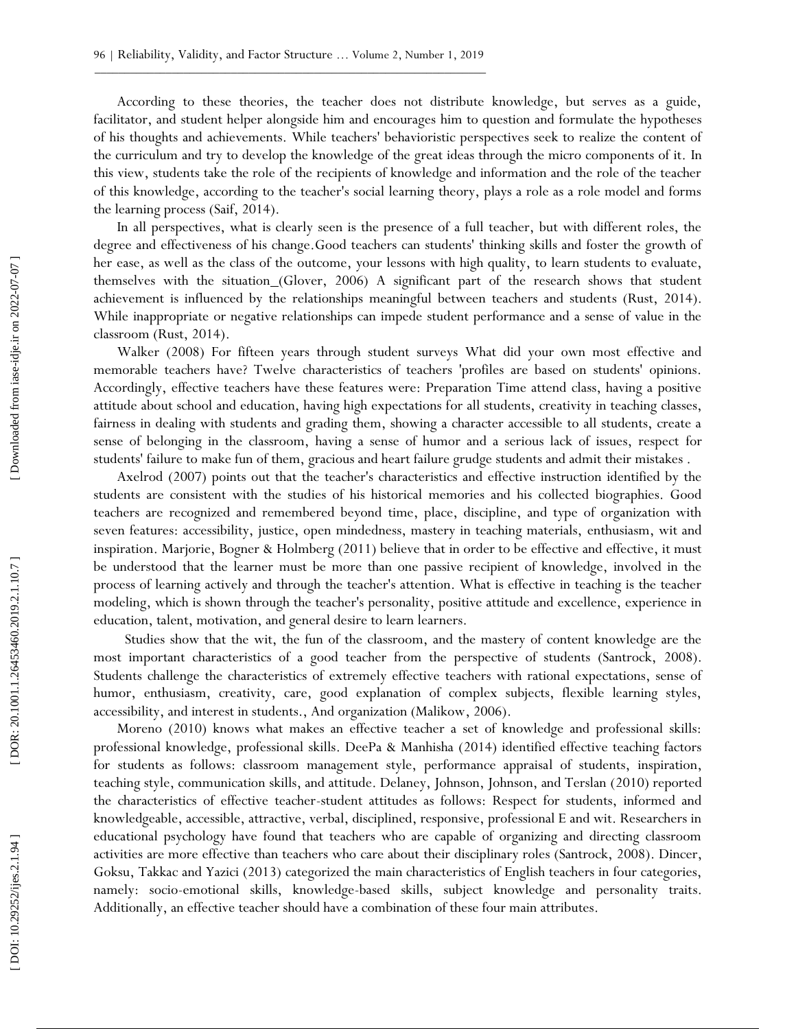According to these theories, the teacher does not distribute knowledge, but serves as a guide, facilitator, and student helper alongside him and encourages him to question and formulate the hypotheses of his thoughts and achievements. While teachers' behavioristic perspectives seek to realize the content of the curriculum and try to develop the knowledge of the great ideas through the micro components of it. In this view, students take the role of the recipients of knowledge and information and the role of the teacher of this knowledge, according to the teacher's social learning theory, plays a role as a role model and forms the learning process (Saif, 2014).

In all perspectives, what is clearly seen is the presence of a full teacher, but with different roles, the degree and effectiveness of his change.Good teachers can students' thinking skills and foster the growth of her ease, as well as the class of the outcome, your lessons with high quality, to learn students to evaluate, themselves with the situation (Glover, 2006) A significant part of the research shows that student achievement is influenced by the relationships meaningful between teachers and students (Rust, 2014). While inappropriate or negative relationships can impede student performance and a sense of value in the classroom (Rust, 2014).

Walker (2008) For fifteen years through student surveys What did your own most effective and memorable teachers have? Twelve characteristics of teachers 'profiles are based on students' opinions. Accordingly, effective teachers have these features were: Preparation Time attend class, having a positive attitude about school and education, having high expectations for all students, creativity in teaching classes, fairness in dealing with students and grading them, showing a character accessible to all students, create a sense of belonging in the classroom, having a sense of humor and a serious lack of issues, respect for students' failure to make fun of them, gracious and heart failure grudge students and admit their mistakes .

Axelrod (2007) points out that the teacher's characteristics and effective instruction identified by the students are consistent with the studies of his historical memories and his collected biographies. Good teachers are recognized and remembered beyond time, place, discipline, and type of organization with seven features: accessibility, justice, open mindedness, mastery in teaching materials, enthusiasm, wit and inspiration. Marjorie, Bogner & Holmberg (2011) believe that in order to be effective and effective, it must be understood that the learner must be more than one passive recipient of knowledge, involved in the process of learning actively and through the teacher's attention. What is effective in teaching is the teacher modeling, which is shown through the teacher's personality, positive attitude and excellence, experience in education, talent, motivation, and general desire to learn learners.

Studies show that the wit, the fun of the classroom, and the mastery of content knowledge are the most important characteristics of a good teacher from the perspective of students (Santrock, 2008). Students challenge the characteristics of extremely effective teachers with rational expectations, sense of humor, enthusiasm, creativity, care, good explanation of complex subjects, flexible learning styles, accessibility, and interest in students., And organization (Malikow, 2006).

Moreno (2010) knows what makes an effective teacher a set of knowledge and professional skills: professional knowledge, professional skills. DeePa & Manhisha (2014) identified effective teaching factors for students as follows: classroom management style, performance appraisal of students, inspiration, teaching style, communication skills, and attitude. Delaney, Johnson, Johnson, and Terslan (2010) reported the characteristics of effective teacher-student attitudes as follows: Respect for students, informed and knowledgeable, accessible, attractive, verbal, disciplined, responsive, professional E and wit. Researchers in educational psychology have found that teachers who are capable of organizing and directing classroom activities are more effective than teachers who care about their disciplinary roles (Santrock, 2008). Dincer, Goksu, Takkac and Yazici (2013) categorized the main characteristics of English teachers in four categories, namely: socio -emotional skills, knowledge -based skills, subject knowledge and personality traits. Additionally, an effective teacher should have a combination of these four main attributes.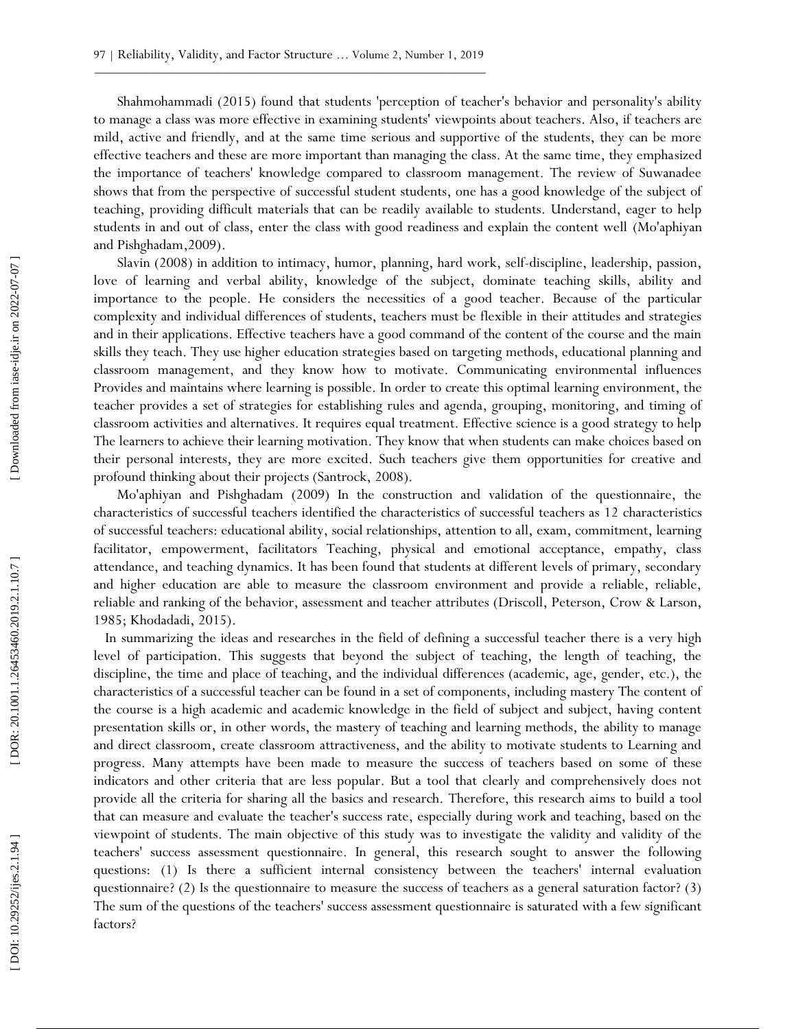Shahmohammadi (2015) found that students 'perception of teacher's behavior and personality's ability to manage a class was more effective in examining students' viewpoints about teachers. Also, if teachers are mild, active and friendly, and at the same time serious and supportive of the students, they can be more effective teachers and these are more important than managing the class. At the same time, they emphasized the importance of teachers' knowledge compared to classroom management. The review of Suwanadee shows that from the perspective of successful student students, one has a good knowledge of the subject of teaching, providing difficult materials that can be readily available to students. Understand, eager to help students in and out of class, enter the class with good readiness and explain the content well (Mo'aphiyan and Pishghadam,2009).

Slavin (2008) in addition to intimacy, humor, planning, hard work, self-discipline, leadership, passion, love of learning and verbal ability, knowledge of the subject, dominate teaching skills, ability and importance to the people. He considers the necessities of a good teacher. Because of the particular complexity and individual differences of students, teachers must be flexible in their attitudes and strategies and in their applications. Effective teachers have a good command of the content of the course and the main skills they teach. They use higher education strategies based on targeting methods, educational planning and classroom management, and they know how to motivate. Communicating environmental influences Provides and maintains where learning is possible. In order to create this optimal learning environment, the teacher provides a set of strategies for establishing rules and agenda, grouping, monitoring, and timing of classroom activities and alternatives. It requires equal treatment. Effective science is a good strategy to help The learners to achieve their learning motivation. They know that when students can make choices based on their personal interests, they are more excited. Such teachers give them opportunities for creative and profound thinking about their projects (Santrock, 2008).

Mo'aphiyan and Pishghadam (2009) In the construction and validation of the questionnaire, the characteristics of successful teachers identified the characteristics of successful teachers as 12 characteristics of successful teachers: educational ability, social relationships, attention to all, exam, commitment, learning facilitator, empowerment, facilitators Teaching, physical and emotional acceptance, empathy, class attendance, and teaching dynamics. It has been found that students at different levels of primary, secondary and higher education are able to measure the classroom environment and provide a reliable, reliable, reliable and ranking of the behavior, assessment and teacher attributes (Driscoll, Peterson, Crow & Larson, 1985; Khodadadi, 2015).

 In summarizing the ideas and researches in the field of defining a successful teacher there is a very high level of participation. This suggests that beyond the subject of teaching, the length of teaching, the discipline, the time and place of teaching, and the individual differences (academic, age, gender, etc.), the characteristics of a successful teacher can be found in a set of components, including mastery The content of the course is a high academic and academic knowledge in the field of subject and subject, having content presentation skills or, in other words, the mastery of teaching and learning methods, the ability to manage and direct classroom, create classroom attractiveness, and the ability to motivate students to Learning and progress. Many attempts have been made to measure the success of teachers based on some of these indicators and other criteria that are less popular. But a tool that clearly and comprehensively does not provide all the criteria for sharing all the basics and research. Therefore, this research aims to build a tool that can measure and evaluate the teacher's success rate, especially during work and teaching, based on the viewpoint of students. The main objective of this study was to investigate the validity and validity of the teachers' success assessment questionnaire. In general, this research sought to answer the following questions: ( 1 ) Is there a sufficient internal consistency between the teachers' internal evaluation questionnaire? (2) Is the questionnaire to measure the success of teachers as a general saturation factor? (3) The sum of the questions of the teachers' success assessment questionnaire is saturated with a few significant factors?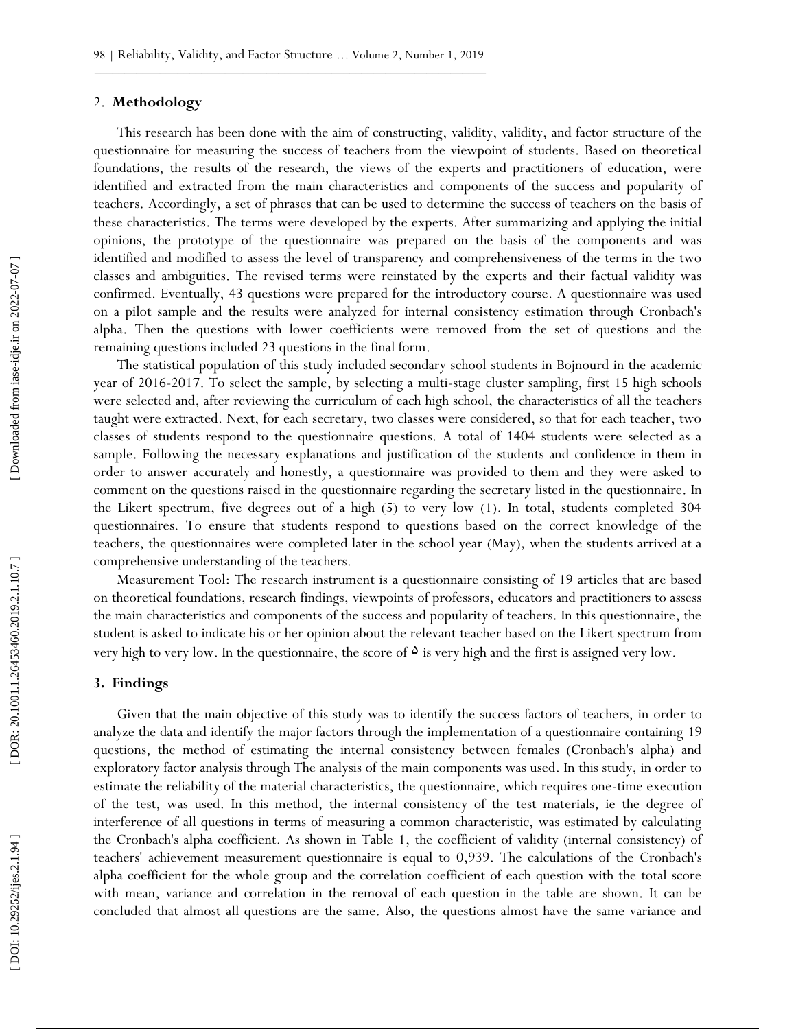#### 2. **Methodology**

This research has been done with the aim of constructing, validity, validity, and factor structure of the questionnaire for measuring the success of teachers from the viewpoint of students. Based on theoretical foundations, the results of the research, the views of the experts and practitioners of education, were identified and extracted from the main characteristics and components of the success and popularity of teachers. Accordingly, a set of phrases that can be used to determine the success of teachers on the basis of these characteristics. The terms were developed by the experts. After summarizing and applying the initial opinions, the prototype of the questionnaire was prepared on the basis of the components and was identified and modified to assess the level of transparency and comprehensiveness of the terms in the two classes and ambiguities. The revised terms were reinstated by the experts and their factual validity was confirmed. Eventually, 43 questions were prepared for the introductory course. A questionnaire was used on a pilot sample and the results were analyzed for internal consistency estimation through Cronbach's alpha. Then the questions with lower coefficients were removed from the set of questions and the remaining questions included 23 questions in the final form.

The statistical population of this study included secondary school students in Bojnourd in the academic year of 2016 -2017. To select the sample, by selecting a multi -stage cluster sampling, first 15 high schools were selected and, after reviewing the curriculum of each high school, the characteristics of all the teachers taught were extracted. Next, for each secretary, two classes were considered, so that for each teacher, two classes of students respond to the questionnaire questions. A total of 1404 students were selected as a sample. Following the necessary explanations and justification of the students and confidence in them in order to answer accurately and honestly, a questionnaire was provided to them and they were asked to comment on the questions raised in the questionnaire regarding the secretary listed in the questionnaire. In the Likert spectrum, five degrees out of a high (5) to very low (1). In total, students completed 304 questionnaires. To ensure that students respond to questions based on the correct knowledge of the teachers, the questionnaires were completed later in the school year (May), when the students arrived at a comprehensive understanding of the teachers.

Measurement Tool: The research instrument is a questionnaire consisting of 19 articles that are based on theoretical foundations, research findings, viewpoints of professors, educators and practitioners to assess the main characteristics and components of the success and popularity of teachers. In this questionnaire, the student is asked to indicate his or her opinion about the relevant teacher based on the Likert spectrum from very high to very low. In the questionnaire, the score of  $\delta$  is very high and the first is assigned very low.

## **3 . Findings**

Given that the main objective of this study was to identify the success factors of teachers, in order to analyze the data and identify the major factors through the implementation of a questionnaire containing 19 questions, the method of estimating the internal consistency between females (Cronbach's alpha) and exploratory factor analysis through The analysis of the main components was used. In this study, in order to estimate the reliability of the material characteristics, the questionnaire, which requires one-time execution of the test, was used. In this method, the internal consistency of the test materials, ie the degree of interference of all questions in terms of measuring a common characteristic, was estimated by calculating the Cronbach's alpha coefficient. As shown in Table 1, the coefficient of validity (internal consistency) of teachers' achievement measurement questionnaire is equal to 0,939. The calculations of the Cronbach's alpha coefficient for the whole group and the correlation coefficient of each question with the total score with mean, variance and correlation in the removal of each question in the table are shown. It can be concluded that almost all questions are the same. Also, the questions almost have the same variance and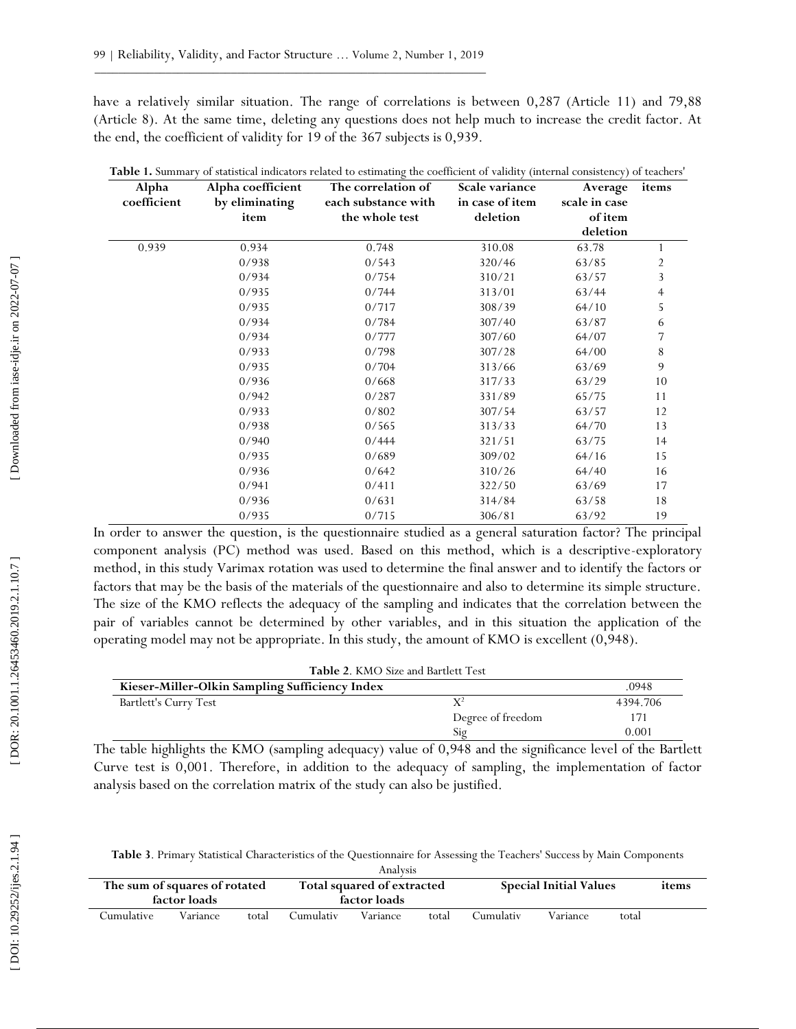have a relatively similar situation. The range of correlations is between 0,287 (Article 11) and 79,88 (Article 8). At the same time, deleting any questions does not help much to increase the credit factor. At the end, the coefficient of validity for 19 of the 367 subjects is 0,939.

| Alpha       | Alpha coefficient | The correlation of  | Scale variance  | Average       | items |
|-------------|-------------------|---------------------|-----------------|---------------|-------|
| coefficient | by eliminating    | each substance with | in case of item | scale in case |       |
|             | item              | the whole test      | deletion        | of item       |       |
|             |                   |                     |                 | deletion      |       |
| 0.939       | 0.934             | 0.748               | 310.08          | 63.78         |       |
|             | 0/938             | 0/543               | 320/46          | 63/85         | 2     |
|             | 0/934             | 0/754               | 310/21          | 63/57         | 3     |
|             | 0/935             | 0/744               | 313/01          | 63/44         | 4     |
|             | 0/935             | 0/717               | 308/39          | 64/10         | 5     |
|             | 0/934             | 0/784               | 307/40          | 63/87         | 6     |
|             | 0/934             | 0/777               | 307/60          | 64/07         | 7     |
|             | 0/933             | 0/798               | 307/28          | 64/00         | 8     |
|             | 0/935             | 0/704               | 313/66          | 63/69         | 9     |
|             | 0/936             | 0/668               | 317/33          | 63/29         | 10    |
|             | 0/942             | 0/287               | 331/89          | 65/75         | 11    |
|             | 0/933             | 0/802               | 307/54          | 63/57         | 12    |
|             | 0/938             | 0/565               | 313/33          | 64/70         | 13    |
|             | 0/940             | 0/444               | 321/51          | 63/75         | 14    |
|             | 0/935             | 0/689               | 309/02          | 64/16         | 15    |
|             | 0/936             | 0/642               | 310/26          | 64/40         | 16    |
|             | 0/941             | 0/411               | 322/50          | 63/69         | 17    |
|             | 0/936             | 0/631               | 314/84          | 63/58         | 18    |
|             | 0/935             | 0/715               | 306/81          | 63/92         | 19    |

In order to answer the question, is the questionnaire studied as a general saturation factor? The principal component analysis (PC) method was used. Based on this method, which is a descriptive -exploratory method, in this study Varimax rotation was used to determine the final answer and to identify the factors or factors that may be the basis of the materials of the questionnaire and also to determine its simple structure. The size of the KMO reflects the adequacy of the sampling and indicates that the correlation between the pair of variables cannot be determined by other variables, and in this situation the application of the operating model may not be appropriate. In this study, the amount of KMO is excellent (0,948).

| <b>Table 2. KMO Size and Bartlett Test</b> |
|--------------------------------------------|
|--------------------------------------------|

| Kieser-Miller-Olkin Sampling Sufficiency Index |                   | .0948    |
|------------------------------------------------|-------------------|----------|
| Bartlett's Curry Test                          |                   | 4394 706 |
|                                                | Degree of freedom |          |
|                                                | Sig               | 0.001    |

The table highlights the KMO (sampling adequacy) value of 0,948 and the significance level of the Bartlett Curve test is 0,001. Therefore, in addition to the adequacy of sampling, the implementation of factor analysis based on the correlation matrix of the study can also be justified.

**Table 3**. Primary Statistical Characteristics of the Questionnaire for Assessing the Teachers' Success by Main Components

| Analysis                      |              |                            |           |                               |       |           |          |       |  |
|-------------------------------|--------------|----------------------------|-----------|-------------------------------|-------|-----------|----------|-------|--|
| The sum of squares of rotated |              | Total squared of extracted |           | <b>Special Initial Values</b> |       |           | items    |       |  |
|                               | factor loads |                            |           | factor loads                  |       |           |          |       |  |
| Cumulative                    | Variance     | total                      | Cumulativ | Variance                      | total | Cumulativ | Variance | total |  |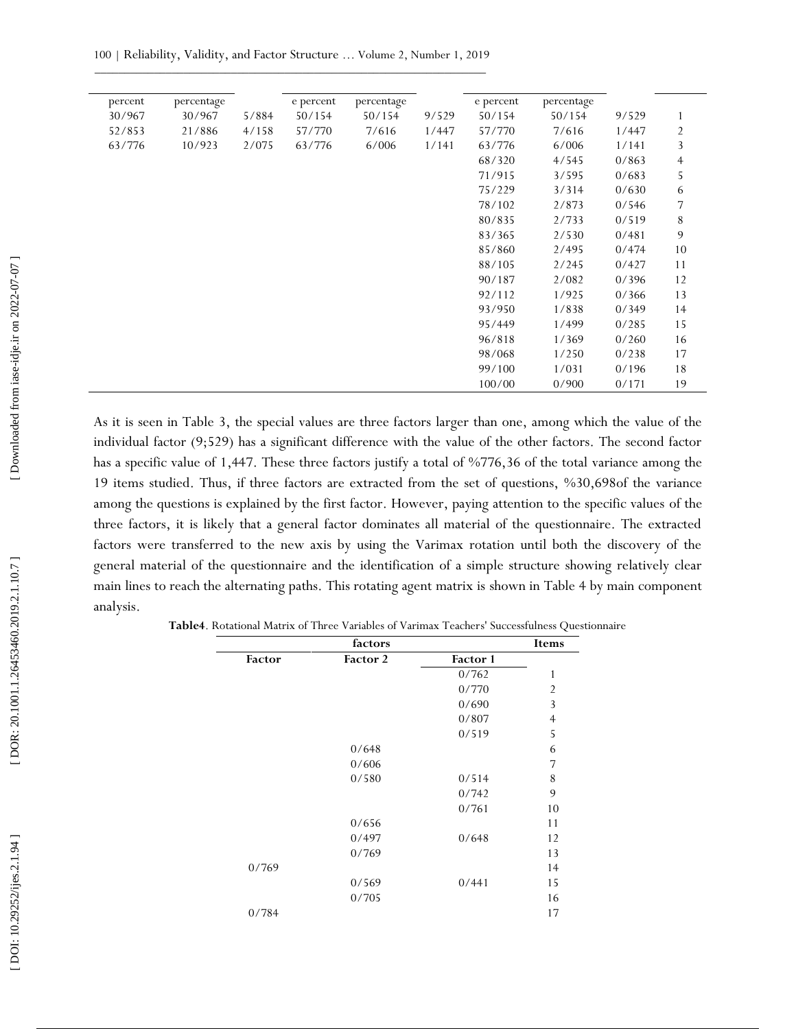| percent | percentage |       | e percent | percentage |       | e percent | percentage |       |                |
|---------|------------|-------|-----------|------------|-------|-----------|------------|-------|----------------|
| 30/967  | 30/967     | 5/884 | 50/154    | 50/154     | 9/529 | 50/154    | 50/154     | 9/529 |                |
| 52/853  | 21/886     | 4/158 | 57/770    | 7/616      | 1/447 | 57/770    | 7/616      | 1/447 | 2              |
| 63/776  | 10/923     | 2/075 | 63/776    | 6/006      | 1/141 | 63/776    | 6/006      | 1/141 | 3              |
|         |            |       |           |            |       | 68/320    | 4/545      | 0/863 | $\overline{4}$ |
|         |            |       |           |            |       | 71/915    | 3/595      | 0/683 | 5              |
|         |            |       |           |            |       | 75/229    | 3/314      | 0/630 | 6              |
|         |            |       |           |            |       | 78/102    | 2/873      | 0/546 | 7              |
|         |            |       |           |            |       | 80/835    | 2/733      | 0/519 | 8              |
|         |            |       |           |            |       | 83/365    | 2/530      | 0/481 | 9              |
|         |            |       |           |            |       | 85/860    | 2/495      | 0/474 | 10             |
|         |            |       |           |            |       | 88/105    | 2/245      | 0/427 | 11             |
|         |            |       |           |            |       | 90/187    | 2/082      | 0/396 | 12             |
|         |            |       |           |            |       | 92/112    | 1/925      | 0/366 | 13             |
|         |            |       |           |            |       | 93/950    | 1/838      | 0/349 | 14             |
|         |            |       |           |            |       | 95/449    | 1/499      | 0/285 | 15             |
|         |            |       |           |            |       | 96/818    | 1/369      | 0/260 | 16             |
|         |            |       |           |            |       | 98/068    | 1/250      | 0/238 | 17             |
|         |            |       |           |            |       | 99/100    | 1/031      | 0/196 | 18             |
|         |            |       |           |            |       | 100/00    | 0/900      | 0/171 | 19             |

As it is seen in Table 3, the special values are three factors larger than one, among which the value of the individual factor (9;529) has a significant difference with the value of the other factors. The second factor has a specific value of 1,447. These three factors justify a total of %776,36 of the total variance among the 19 items studied. Thus, if three factors are extracted from the set of questions, %30,698of the variance among the questions is explained by the first factor. However, paying attention to the specific values of the three factors, it is likely that a general factor dominates all material of the questionnaire. The extracted factors were transferred to the new axis by using the Varimax rotation until both the discovery of the general material of the questionnaire and the identification of a simple structure showing relatively clear main lines to reach the alternating paths. This rotating agent matrix is shown in Table 4 by main component analysis.

|        | factors  |          | Items          |
|--------|----------|----------|----------------|
| Factor | Factor 2 | Factor 1 |                |
|        |          | 0/762    | $\mathbf{1}$   |
|        |          | 0/770    | $\overline{2}$ |
|        |          | 0/690    | 3              |
|        |          | 0/807    | $\overline{4}$ |
|        |          | 0/519    | 5              |
|        | 0/648    |          | 6              |
|        | 0/606    |          | 7              |
|        | 0/580    | 0/514    | $\,$ $\,$      |
|        |          | 0/742    | 9              |
|        |          | 0/761    | 10             |
|        | 0/656    |          | 11             |
|        | 0/497    | 0/648    | 12             |
|        | 0/769    |          | 13             |
| 0/769  |          |          | 14             |
|        | 0/569    | 0/441    | 15             |
|        | 0/705    |          | 16             |
| 0/784  |          |          | 17             |

**Table4**. Rotational Matrix of Three Variables of Varimax Teachers' Successfulness Questionnaire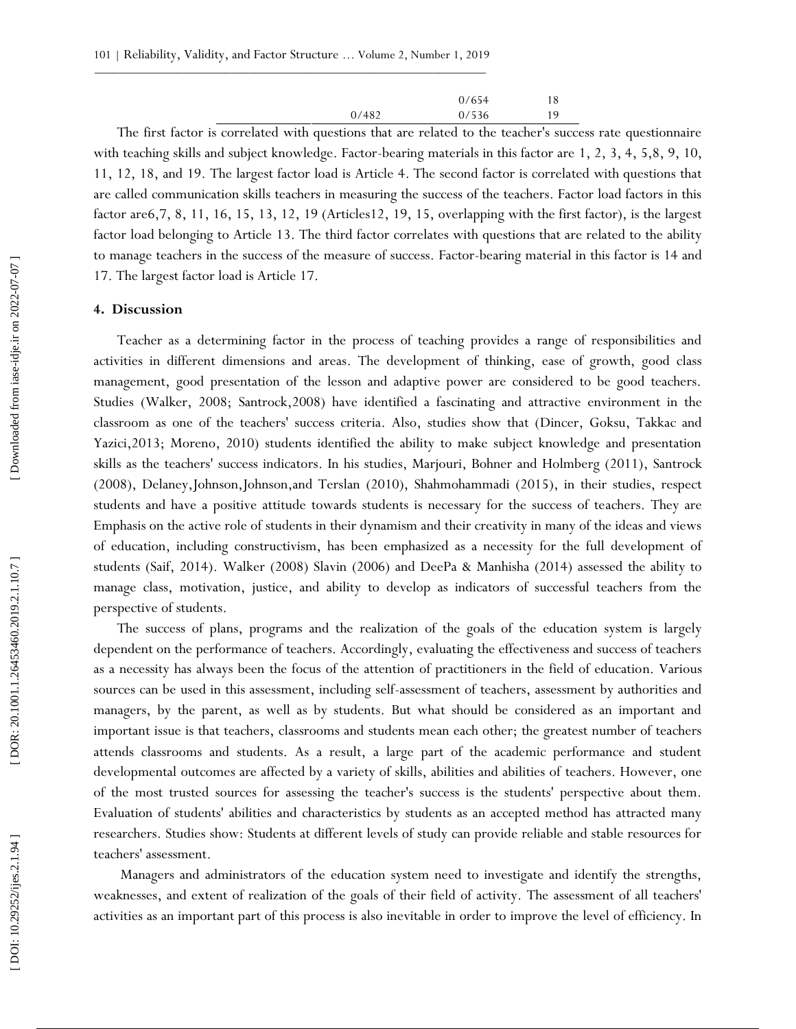|       | 0/654 | 18 |
|-------|-------|----|
| 0/482 | 0/536 | 19 |

The first factor is correlated with questions that are related to the teacher's success rate questionnaire with teaching skills and subject knowledge. Factor-bearing materials in this factor are 1, 2, 3, 4, 5,8, 9, 10, 11, 12, 18, and 19. The largest factor load is Article 4. The second factor is correlated with questions that are called communication skills teachers in measuring the success of the teachers. Factor load factors in this factor are 6, 7, 8, 11, 16, 15, 13, 12, 19 (Articles12, 19, 15, overlapping with the first factor), is the largest factor load belonging to Article 13. The third factor correlates with questions that are related to the ability to manage teachers in the success of the measure of success. Factor -bearing material in this factor is 14 and 17. The largest factor load is Article 17.

#### **4. Discussion**

Teacher as a determining factor in the process of teaching provides a range of responsibilities and activities in different dimensions and areas. The development of thinking, ease of growth, good class management, good presentation of the lesson and adaptive power are considered to be good teachers. Studies (Walker, 2008; Santrock,2008) have identified a fascinating and attractive environment in the classroom as one of the teachers' success criteria. Also, studies show that (Dincer, Goksu, Takkac and Yazici,2013; Moreno, 2010) students identified the ability to make subject knowledge and presentation skills as the teachers' success indicators. In his studies, Marjouri, Bohner and Holmberg (2011), Santrock (2008), Delaney,Johnson,Johnson,and Terslan (2010), Shahmohammadi (2015), in their studies, respect students and have a positive attitude towards students is necessary for the success of teachers. They are Emphasis on the active role of students in their dynamism and their creativity in many of the ideas and views of education, including constructivism, has been emphasized as a necessity for the full development of students (Saif, 2014). Walker (2008) Slavin (2006) and DeePa & Manhisha (2014) assessed the ability to manage class, motivation, justice, and ability to develop as indicators of successful teachers from the perspective of students.

The success of plans, programs and the realization of the goals of the education system is largely dependent on the performance of teachers. Accordingly, evaluating the effectiveness and success of teachers as a necessity has always been the focus of the attention of practitioners in the field of education. Various sources can be used in this assessment, including self -assessment of teachers, assessment by authorities and managers, by the parent, as well as by students. But what should be considered as an important and important issue is that teachers, classrooms and students mean each other; the greatest number of teachers attends classrooms and students. As a result, a large part of the academic performance and student developmental outcomes are affected by a variety of skills, abilities and abilities of teachers. However, one of the most trusted sources for assessing the teacher's success is the students' perspective about them. Evaluation of students' abilities and characteristics by students as an accepted method has attracted many researchers. Studies show: Students at different levels of study can provide reliable and stable resources for teachers' assessment.

Managers and administrators of the education system need to investigate and identify the strengths, weaknesses, and extent of realization of the goals of their field of activity. The assessment of all teachers' activities as an important part of this process is also inevitable in order to improve the level of efficiency. In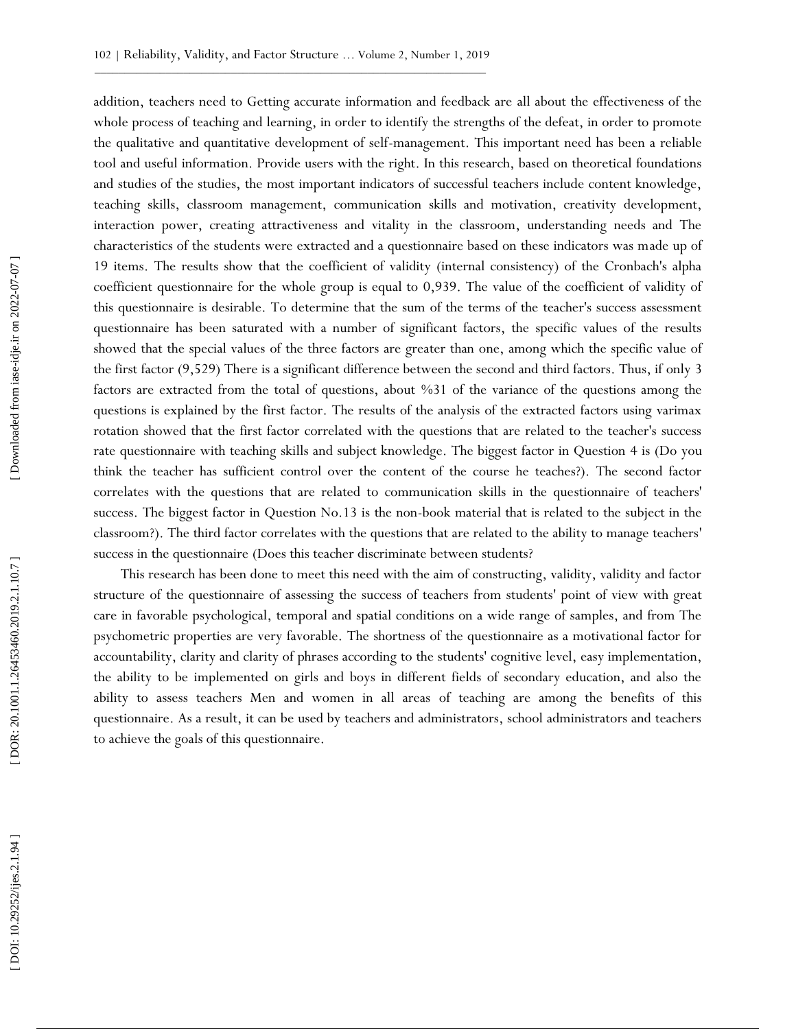addition, teachers need to Getting accurate information and feedback are all about the effectiveness of the whole process of teaching and learning, in order to identify the strengths of the defeat, in order to promote the qualitative and quantitative development of self -management. This important need has been a reliable tool and useful information. Provide users with the right. In this research, based on theoretical foundations and studies of the studies, the most important indicators of successful teachers include content knowledge, teaching skills, classroom management, communication skills and motivation, creativity development, interaction power, creating attractiveness and vitality in the classroom, understanding needs and The characteristics of the students were extracted and a questionnaire based on these indicators was made up of 19 items. The results show that the coefficient of validity (internal consistency) of the Cronbach's alpha coefficient questionnaire for the whole group is equal to 0,939. The value of the coefficient of validity of this questionnaire is desirable. To determine that the sum of the terms of the teacher's success assessment questionnaire has been saturated with a number of significant factors, the specific values of the results showed that the special values of the three factors are greater than one, among which the specific value of the first factor (9,529) There is a significant difference between the second and third factors. Thus, if only 3 factors are extracted from the total of questions, about %31 of the variance of the questions among the questions is explained by the first factor. The results of the analysis of the extracted factors using varimax rotation showed that the first factor correlated with the questions that are related to the teacher's success rate questionnaire with teaching skills and subject knowledge. The biggest factor in Question 4 is (Do you think the teacher has sufficient control over the content of the course he teaches?). The second factor correlates with the questions that are related to communication skills in the questionnaire of teachers' success. The biggest factor in Question No.13 is the non-book material that is related to the subject in the classroom?). The third factor correlates with the questions that are related to the ability to manage teachers' success in the questionnaire (Does this teacher discriminate between students?

This research has been done to meet this need with the aim of constructing, validity, validity and factor structure of the questionnaire of assessing the success of teachers from students' point of view with great care in favorable psychological, temporal and spatial conditions on a wide range of samples, and from The psychometric properties are very favorable. The shortness of the questionnaire as a motivational factor for accountability, clarity and clarity of phrases according to the students' cognitive level, easy implementation, the ability to be implemented on girls and boys in different fields of secondary education, and also the ability to assess teachers Men and women in all areas of teaching are among the benefits of this questionnaire. As a result, it can be used by teachers and administrators, school administrators and teachers to achieve the goals of this questionnaire.